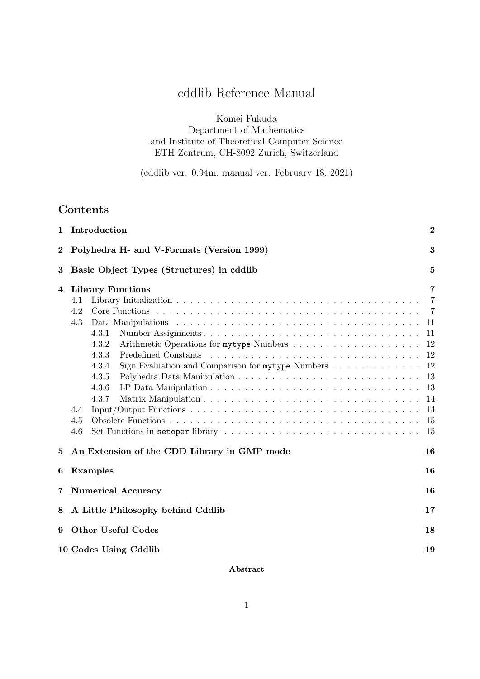# cddlib Reference Manual

Komei Fukuda Department of Mathematics and Institute of Theoretical Computer Science ETH Zentrum, CH-8092 Zurich, Switzerland

(cddlib ver. 0.94m, manual ver. February 18, 2021)

## Contents

| $\mathbf{1}$ | Introduction<br>$\bf{2}$                                                                                                          |                                                                                              |  |
|--------------|-----------------------------------------------------------------------------------------------------------------------------------|----------------------------------------------------------------------------------------------|--|
| $\bf{2}$     | Polyhedra H- and V-Formats (Version 1999)<br>3                                                                                    |                                                                                              |  |
| $\bf{3}$     | Basic Object Types (Structures) in cddlib<br>5                                                                                    |                                                                                              |  |
| 4            | <b>Library Functions</b><br>4.1<br>4.2<br>4.3<br>4.3.1<br>4.3.2<br>4.3.3<br>4.3.4<br>4.3.5<br>4.3.6<br>4.3.7<br>4.4<br>4.5<br>4.6 | 7<br>$\overline{7}$<br>- 7<br>11<br>11<br>12<br>12<br>12<br>13<br>13<br>14<br>14<br>15<br>15 |  |
| 5            | An Extension of the CDD Library in GMP mode                                                                                       | 16                                                                                           |  |
| 6            | 16<br><b>Examples</b>                                                                                                             |                                                                                              |  |
| 7            | <b>Numerical Accuracy</b><br>16                                                                                                   |                                                                                              |  |
| 8            | 17<br>A Little Philosophy behind Cddlib                                                                                           |                                                                                              |  |
| 9            | <b>Other Useful Codes</b><br>18                                                                                                   |                                                                                              |  |
|              | 10 Codes Using Cddlib<br>19                                                                                                       |                                                                                              |  |

## Abstract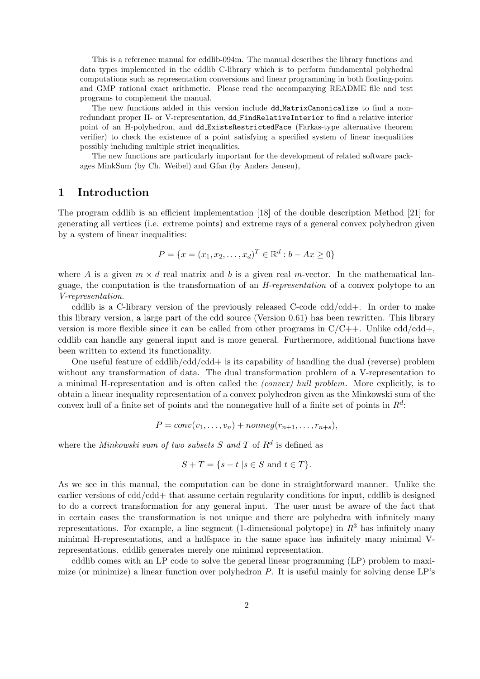This is a reference manual for cddlib-094m. The manual describes the library functions and data types implemented in the cddlib C-library which is to perform fundamental polyhedral computations such as representation conversions and linear programming in both floating-point and GMP rational exact arithmetic. Please read the accompanying README file and test programs to complement the manual.

The new functions added in this version include dd MatrixCanonicalize to find a nonredundant proper H- or V-representation, dd FindRelativeInterior to find a relative interior point of an H-polyhedron, and dd ExistsRestrictedFace (Farkas-type alternative theorem verifier) to check the existence of a point satisfying a specified system of linear inequalities possibly including multiple strict inequalities.

The new functions are particularly important for the development of related software packages MinkSum (by Ch. Weibel) and Gfan (by Anders Jensen),

## 1 Introduction

The program cddlib is an efficient implementation [18] of the double description Method [21] for generating all vertices (i.e. extreme points) and extreme rays of a general convex polyhedron given by a system of linear inequalities:

$$
P = \{x = (x_1, x_2, \dots, x_d)^T \in \mathbb{R}^d : b - Ax \ge 0\}
$$

where A is a given  $m \times d$  real matrix and b is a given real m-vector. In the mathematical language, the computation is the transformation of an H-representation of a convex polytope to an V-representation.

cddlib is a C-library version of the previously released C-code  $\text{cdd}/\text{cdd}$ +. In order to make this library version, a large part of the cdd source (Version 0.61) has been rewritten. This library version is more flexible since it can be called from other programs in  $C/C++$ . Unlike  $\text{cdd}/\text{cdd}$ , cddlib can handle any general input and is more general. Furthermore, additional functions have been written to extend its functionality.

One useful feature of cddlib/cdd/cdd+ is its capability of handling the dual (reverse) problem without any transformation of data. The dual transformation problem of a V-representation to a minimal H-representation and is often called the (convex) hull problem. More explicitly, is to obtain a linear inequality representation of a convex polyhedron given as the Minkowski sum of the convex hull of a finite set of points and the nonnegative hull of a finite set of points in  $R<sup>d</sup>$ :

$$
P = conv(v_1, \ldots, v_n) + nonneg(r_{n+1}, \ldots, r_{n+s}),
$$

where the *Minkowski* sum of two subsets S and T of  $R<sup>d</sup>$  is defined as

$$
S + T = \{ s + t \mid s \in S \text{ and } t \in T \}.
$$

As we see in this manual, the computation can be done in straightforward manner. Unlike the earlier versions of cdd/cdd+ that assume certain regularity conditions for input, cddlib is designed to do a correct transformation for any general input. The user must be aware of the fact that in certain cases the transformation is not unique and there are polyhedra with infinitely many representations. For example, a line segment (1-dimensional polytope) in  $R<sup>3</sup>$  has infinitely many minimal H-representations, and a halfspace in the same space has infinitely many minimal Vrepresentations. cddlib generates merely one minimal representation.

cddlib comes with an LP code to solve the general linear programming (LP) problem to maximize (or minimize) a linear function over polyhedron P. It is useful mainly for solving dense LP's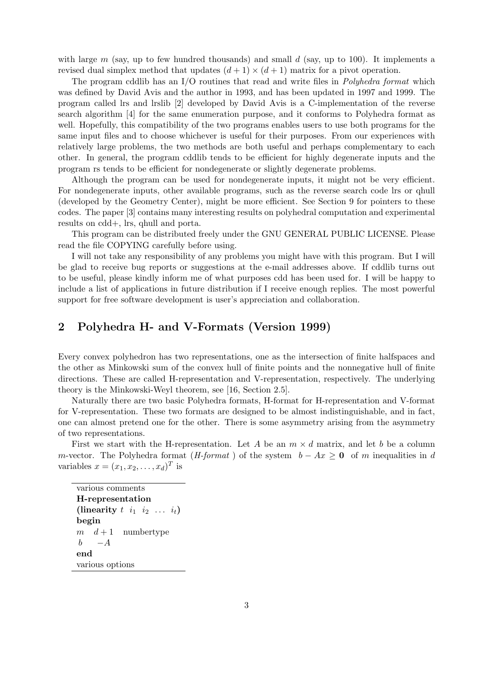with large  $m$  (say, up to few hundred thousands) and small  $d$  (say, up to 100). It implements a revised dual simplex method that updates  $(d+1) \times (d+1)$  matrix for a pivot operation.

The program cddlib has an I/O routines that read and write files in *Polyhedra format* which was defined by David Avis and the author in 1993, and has been updated in 1997 and 1999. The program called lrs and lrslib [2] developed by David Avis is a C-implementation of the reverse search algorithm [4] for the same enumeration purpose, and it conforms to Polyhedra format as well. Hopefully, this compatibility of the two programs enables users to use both programs for the same input files and to choose whichever is useful for their purposes. From our experiences with relatively large problems, the two methods are both useful and perhaps complementary to each other. In general, the program cddlib tends to be efficient for highly degenerate inputs and the program rs tends to be efficient for nondegenerate or slightly degenerate problems.

Although the program can be used for nondegenerate inputs, it might not be very efficient. For nondegenerate inputs, other available programs, such as the reverse search code lrs or qhull (developed by the Geometry Center), might be more efficient. See Section 9 for pointers to these codes. The paper [3] contains many interesting results on polyhedral computation and experimental results on cdd+, lrs, qhull and porta.

This program can be distributed freely under the GNU GENERAL PUBLIC LICENSE. Please read the file COPYING carefully before using.

I will not take any responsibility of any problems you might have with this program. But I will be glad to receive bug reports or suggestions at the e-mail addresses above. If cddlib turns out to be useful, please kindly inform me of what purposes cdd has been used for. I will be happy to include a list of applications in future distribution if I receive enough replies. The most powerful support for free software development is user's appreciation and collaboration.

## 2 Polyhedra H- and V-Formats (Version 1999)

Every convex polyhedron has two representations, one as the intersection of finite halfspaces and the other as Minkowski sum of the convex hull of finite points and the nonnegative hull of finite directions. These are called H-representation and V-representation, respectively. The underlying theory is the Minkowski-Weyl theorem, see [16, Section 2.5].

Naturally there are two basic Polyhedra formats, H-format for H-representation and V-format for V-representation. These two formats are designed to be almost indistinguishable, and in fact, one can almost pretend one for the other. There is some asymmetry arising from the asymmetry of two representations.

First we start with the H-representation. Let A be an  $m \times d$  matrix, and let b be a column m-vector. The Polyhedra format (H-format) of the system  $b - Ax \ge 0$  of m inequalities in d variables  $x = (x_1, x_2, \dots, x_d)^T$  is

various comments H-representation (linearity  $t \quad i_1 \quad i_2 \quad \ldots \quad i_t$ ) begin  $m \quad d+1$  numbertype  $b - A$ end various options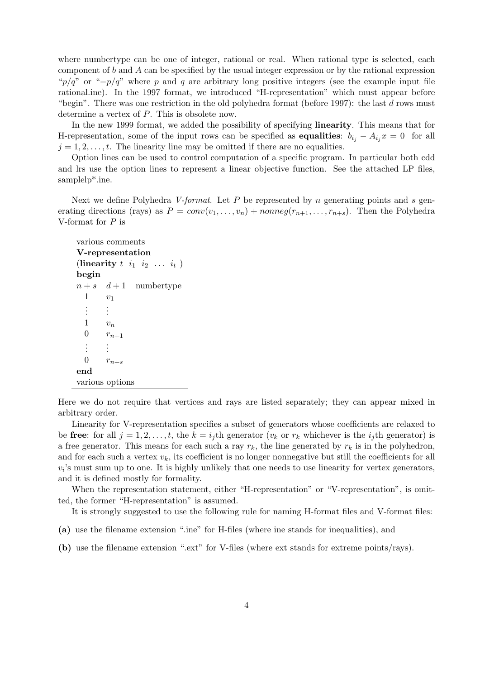where numbertype can be one of integer, rational or real. When rational type is selected, each component of  $b$  and  $A$  can be specified by the usual integer expression or by the rational expression "p/q" or " $-p/q$ " where p and q are arbitrary long positive integers (see the example input file rational.ine). In the 1997 format, we introduced "H-representation" which must appear before "begin". There was one restriction in the old polyhedra format (before 1997): the last  $d$  rows must determine a vertex of P. This is obsolete now.

In the new 1999 format, we added the possibility of specifying linearity. This means that for H-representation, some of the input rows can be specified as **equalities**:  $b_{i_j} - A_{i_j}x = 0$  for all  $j = 1, 2, \ldots, t$ . The linearity line may be omitted if there are no equalities.

Option lines can be used to control computation of a specific program. In particular both cdd and lrs use the option lines to represent a linear objective function. See the attached LP files, samplelp\*.ine.

Next we define Polyhedra V-format. Let P be represented by n generating points and s generating directions (rays) as  $P = conv(v_1, \ldots, v_n) + nonneg(r_{n+1}, \ldots, r_{n+s})$ . Then the Polyhedra V-format for  $P$  is

| various comments                   |                        |  |  |
|------------------------------------|------------------------|--|--|
| V-representation                   |                        |  |  |
| (linearity $t$ $i_1$ $i_2$ $i_t$ ) |                        |  |  |
| begin                              |                        |  |  |
|                                    | $n+s$ $d+1$ numbertype |  |  |
| $\mathbf{1}$<br>$v_1$              |                        |  |  |
| $\vdots$                           |                        |  |  |
| 1                                  | $v_n$                  |  |  |
| $\theta$                           | $r_{n+1}$              |  |  |
| ÷                                  |                        |  |  |
| 0                                  | $r_{n+s}$              |  |  |
| end                                |                        |  |  |
| various options                    |                        |  |  |

Here we do not require that vertices and rays are listed separately; they can appear mixed in arbitrary order.

Linearity for V-representation specifies a subset of generators whose coefficients are relaxed to be free: for all  $j = 1, 2, \ldots, t$ , the  $k = i_j$ th generator  $(v_k$  or  $r_k$  whichever is the  $i_j$ th generator) is a free generator. This means for each such a ray  $r_k$ , the line generated by  $r_k$  is in the polyhedron, and for each such a vertex  $v_k$ , its coefficient is no longer nonnegative but still the coefficients for all  $v_i$ 's must sum up to one. It is highly unlikely that one needs to use linearity for vertex generators, and it is defined mostly for formality.

When the representation statement, either "H-representation" or "V-representation", is omitted, the former "H-representation" is assumed.

It is strongly suggested to use the following rule for naming H-format files and V-format files:

- (a) use the filename extension ".ine" for H-files (where ine stands for inequalities), and
- (b) use the filename extension ".ext" for V-files (where ext stands for extreme points/rays).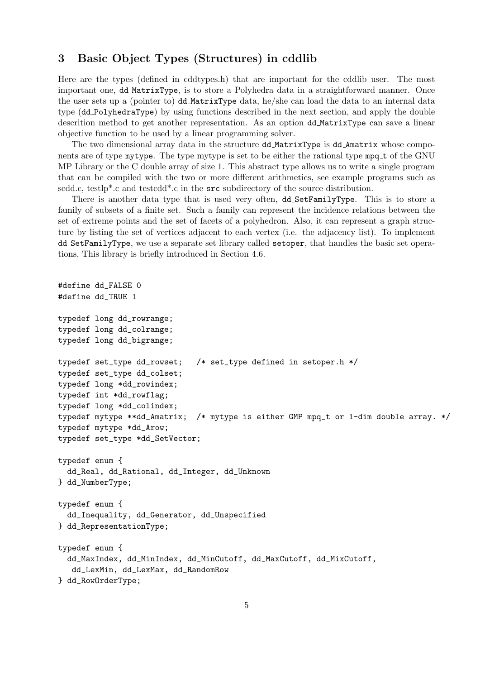## 3 Basic Object Types (Structures) in cddlib

Here are the types (defined in cddtypes.h) that are important for the cddlib user. The most important one, dd MatrixType, is to store a Polyhedra data in a straightforward manner. Once the user sets up a (pointer to) dd MatrixType data, he/she can load the data to an internal data type (dd PolyhedraType) by using functions described in the next section, and apply the double descrition method to get another representation. As an option dd MatrixType can save a linear objective function to be used by a linear programming solver.

The two dimensional array data in the structure dd MatrixType is dd Amatrix whose components are of type mytype. The type mytype is set to be either the rational type mpq\_t of the GNU MP Library or the C double array of size 1. This abstract type allows us to write a single program that can be compiled with the two or more different arithmetics, see example programs such as scdd.c, testlp\*.c and testcdd\*.c in the src subdirectory of the source distribution.

There is another data type that is used very often, dd SetFamilyType. This is to store a family of subsets of a finite set. Such a family can represent the incidence relations between the set of extreme points and the set of facets of a polyhedron. Also, it can represent a graph structure by listing the set of vertices adjacent to each vertex (i.e. the adjacency list). To implement dd SetFamilyType, we use a separate set library called setoper, that handles the basic set operations, This library is briefly introduced in Section 4.6.

```
#define dd_FALSE 0
#define dd_TRUE 1
typedef long dd_rowrange;
typedef long dd_colrange;
typedef long dd_bigrange;
typedef set_type dd_rowset; /* set_type defined in setoper.h */
typedef set_type dd_colset;
typedef long *dd_rowindex;
typedef int *dd_rowflag;
typedef long *dd_colindex;
typedef mytype **dd_Amatrix; /* mytype is either GMP mpq_t or 1-dim double array. */
typedef mytype *dd_Arow;
typedef set_type *dd_SetVector;
typedef enum {
  dd_Real, dd_Rational, dd_Integer, dd_Unknown
} dd_NumberType;
typedef enum {
  dd_Inequality, dd_Generator, dd_Unspecified
} dd_RepresentationType;
typedef enum {
  dd_MaxIndex, dd_MinIndex, dd_MinCutoff, dd_MaxCutoff, dd_MixCutoff,
   dd_LexMin, dd_LexMax, dd_RandomRow
} dd_RowOrderType;
```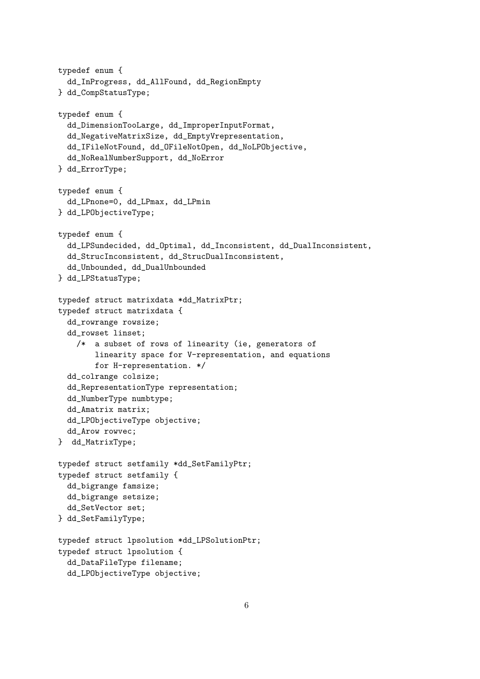```
typedef enum {
  dd_InProgress, dd_AllFound, dd_RegionEmpty
} dd_CompStatusType;
typedef enum {
  dd_DimensionTooLarge, dd_ImproperInputFormat,
  dd_NegativeMatrixSize, dd_EmptyVrepresentation,
  dd_IFileNotFound, dd_OFileNotOpen, dd_NoLPObjective,
  dd_NoRealNumberSupport, dd_NoError
} dd_ErrorType;
typedef enum {
  dd_LPnone=0, dd_LPmax, dd_LPmin
} dd_LPObjectiveType;
typedef enum {
  dd_LPSundecided, dd_Optimal, dd_Inconsistent, dd_DualInconsistent,
  dd_StrucInconsistent, dd_StrucDualInconsistent,
  dd_Unbounded, dd_DualUnbounded
} dd_LPStatusType;
typedef struct matrixdata *dd_MatrixPtr;
typedef struct matrixdata {
  dd_rowrange rowsize;
  dd_rowset linset;
    /* a subset of rows of linearity (ie, generators of
        linearity space for V-representation, and equations
        for H-representation. */
  dd_colrange colsize;
  dd_RepresentationType representation;
  dd_NumberType numbtype;
  dd_Amatrix matrix;
  dd_LPObjectiveType objective;
 dd_Arow rowvec;
} dd_MatrixType;
typedef struct setfamily *dd_SetFamilyPtr;
typedef struct setfamily {
  dd_bigrange famsize;
  dd_bigrange setsize;
  dd_SetVector set;
} dd_SetFamilyType;
typedef struct lpsolution *dd_LPSolutionPtr;
typedef struct lpsolution {
  dd_DataFileType filename;
  dd_LPObjectiveType objective;
```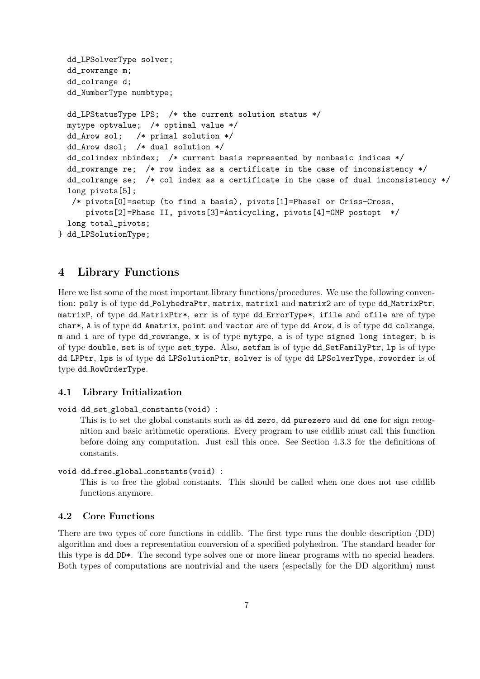```
dd_LPSolverType solver;
 dd_rowrange m;
 dd_colrange d;
  dd_NumberType numbtype;
 dd_LPStatusType LPS; /* the current solution status */
 mytype optvalue; /* optimal value */
 dd_Arow sol; /* primal solution */
 dd_Arow dsol; /* dual solution */
 dd_colindex nbindex; /* current basis represented by nonbasic indices */
 dd_rowrange re; /* row index as a certificate in the case of inconsistency */
  dd_colrange se; /* col index as a certificate in the case of dual inconsistency */
 long pivots[5];
  /* pivots[0]=setup (to find a basis), pivots[1]=PhaseI or Criss-Cross,
      pivots[2]=Phase II, pivots[3]=Anticycling, pivots[4]=GMP postopt */
 long total_pivots;
} dd_LPSolutionType;
```
## 4 Library Functions

Here we list some of the most important library functions/procedures. We use the following convention: poly is of type dd\_PolyhedraPtr, matrix, matrix1 and matrix2 are of type dd\_MatrixPtr, matrixP, of type dd MatrixPtr\*, err is of type dd ErrorType\*, ifile and ofile are of type char\*, A is of type dd\_Amatrix, point and vector are of type dd\_Arow, d is of type dd\_colrange, m and i are of type dd rowrange, x is of type mytype, a is of type signed long integer, b is of type double, set is of type set type. Also, setfam is of type dd SetFamilyPtr, lp is of type dd LPPtr, lps is of type dd LPSolutionPtr, solver is of type dd LPSolverType, roworder is of type dd RowOrderType.

### 4.1 Library Initialization

#### void dd\_set\_global\_constants(void) :

This is to set the global constants such as dd\_zero, dd\_purezero and dd\_one for sign recognition and basic arithmetic operations. Every program to use cddlib must call this function before doing any computation. Just call this once. See Section 4.3.3 for the definitions of constants.

#### void dd free global constants(void) :

This is to free the global constants. This should be called when one does not use cddlib functions anymore.

### 4.2 Core Functions

There are two types of core functions in cddlib. The first type runs the double description (DD) algorithm and does a representation conversion of a specified polyhedron. The standard header for this type is dd\_DD\*. The second type solves one or more linear programs with no special headers. Both types of computations are nontrivial and the users (especially for the DD algorithm) must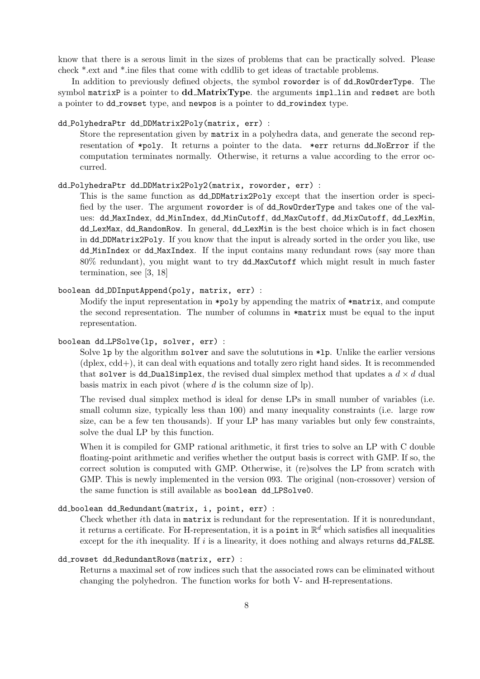know that there is a serous limit in the sizes of problems that can be practically solved. Please check \*.ext and \*.ine files that come with cddlib to get ideas of tractable problems.

In addition to previously defined objects, the symbol roworder is of dd RowOrderType. The symbol matrixP is a pointer to  $\text{d}d$  MatrixType. the arguments impllin and redset are both a pointer to dd rowset type, and newpos is a pointer to dd rowindex type.

#### dd PolyhedraPtr dd DDMatrix2Poly(matrix, err) :

Store the representation given by matrix in a polyhedra data, and generate the second representation of \*poly. It returns a pointer to the data. \*err returns dd NoError if the computation terminates normally. Otherwise, it returns a value according to the error occurred.

#### dd PolyhedraPtr dd DDMatrix2Poly2(matrix, roworder, err) :

This is the same function as dd DDMatrix2Poly except that the insertion order is specified by the user. The argument roworder is of dd RowOrderType and takes one of the values: dd MaxIndex, dd MinIndex, dd MinCutoff, dd MaxCutoff, dd MixCutoff, dd LexMin, dd LexMax, dd RandomRow. In general, dd LexMin is the best choice which is in fact chosen in dd DDMatrix2Poly. If you know that the input is already sorted in the order you like, use dd MinIndex or dd MaxIndex. If the input contains many redundant rows (say more than 80% redundant), you might want to try dd MaxCutoff which might result in much faster termination, see [3, 18]

### boolean dd DDInputAppend(poly, matrix, err) :

Modify the input representation in  $\ast$ poly by appending the matrix of  $\ast$ matrix, and compute the second representation. The number of columns in \*matrix must be equal to the input representation.

#### boolean dd LPSolve(lp, solver, err) :

Solve 1p by the algorithm solver and save the soluturions in  $\ast$ 1p. Unlike the earlier versions  $(d$ plex,  $cdd+$ ), it can deal with equations and totally zero right hand sides. It is recommended that solver is dd DualSimplex, the revised dual simplex method that updates a  $d \times d$  dual basis matrix in each pivot (where  $d$  is the column size of lp).

The revised dual simplex method is ideal for dense LPs in small number of variables (i.e. small column size, typically less than 100) and many inequality constraints (i.e. large row size, can be a few ten thousands). If your LP has many variables but only few constraints, solve the dual LP by this function.

When it is compiled for GMP rational arithmetic, it first tries to solve an LP with C double floating-point arithmetic and verifies whether the output basis is correct with GMP. If so, the correct solution is computed with GMP. Otherwise, it (re)solves the LP from scratch with GMP. This is newly implemented in the version 093. The original (non-crossover) version of the same function is still available as boolean dd LPSolve0.

### dd boolean dd Redundant(matrix, i, point, err) :

Check whether ith data in matrix is redundant for the representation. If it is nonredundant, it returns a certificate. For H-representation, it is a point in  $\mathbb{R}^d$  which satisfies all inequalities except for the *i*th inequality. If  $i$  is a linearity, it does nothing and always returns  $dd$ - $FALSE$ .

#### dd rowset dd RedundantRows(matrix, err) :

Returns a maximal set of row indices such that the associated rows can be eliminated without changing the polyhedron. The function works for both V- and H-representations.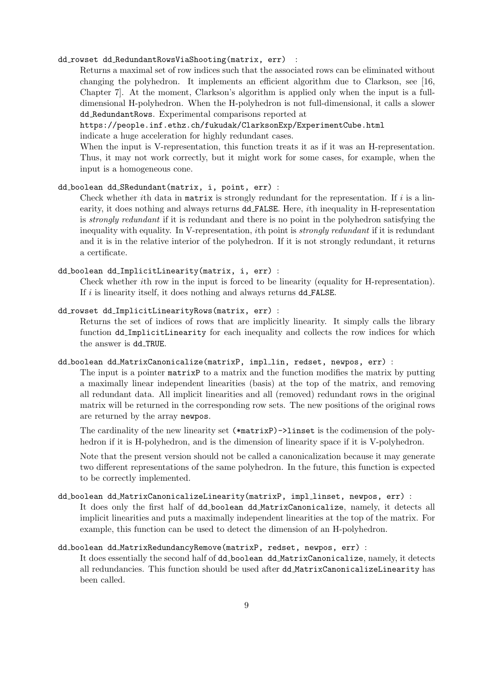### dd\_rowset dd\_RedundantRowsViaShooting(matrix, err) :

Returns a maximal set of row indices such that the associated rows can be eliminated without changing the polyhedron. It implements an efficient algorithm due to Clarkson, see [16, Chapter 7]. At the moment, Clarkson's algorithm is applied only when the input is a fulldimensional H-polyhedron. When the H-polyhedron is not full-dimensional, it calls a slower dd RedundantRows. Experimental comparisons reported at

## https://people.inf.ethz.ch/fukudak/ClarksonExp/ExperimentCube.html

indicate a huge acceleration for highly redundant cases.

When the input is V-representation, this function treats it as if it was an H-representation. Thus, it may not work correctly, but it might work for some cases, for example, when the input is a homogeneous cone.

#### dd boolean dd SRedundant(matrix, i, point, err) :

Check whether ith data in matrix is strongly redundant for the representation. If  $i$  is a linearity, it does nothing and always returns dd FALSE. Here, ith inequality in H-representation is strongly redundant if it is redundant and there is no point in the polyhedron satisfying the inequality with equality. In V-representation, ith point is *strongly redundant* if it is redundant and it is in the relative interior of the polyhedron. If it is not strongly redundant, it returns a certificate.

#### dd boolean dd ImplicitLinearity(matrix, i, err) :

Check whether ith row in the input is forced to be linearity (equality for H-representation). If  $i$  is linearity itself, it does nothing and always returns  $dd$ -FALSE.

#### dd rowset dd ImplicitLinearityRows(matrix, err) :

Returns the set of indices of rows that are implicitly linearity. It simply calls the library function dd ImplicitLinearity for each inequality and collects the row indices for which the answer is dd TRUE.

#### dd\_boolean dd\_MatrixCanonicalize(matrixP, impl\_lin, redset, newpos, err) :

The input is a pointer matrixP to a matrix and the function modifies the matrix by putting a maximally linear independent linearities (basis) at the top of the matrix, and removing all redundant data. All implicit linearities and all (removed) redundant rows in the original matrix will be returned in the corresponding row sets. The new positions of the original rows are returned by the array newpos.

The cardinality of the new linearity set (\*matrixP)->linset is the codimension of the polyhedron if it is H-polyhedron, and is the dimension of linearity space if it is V-polyhedron.

Note that the present version should not be called a canonicalization because it may generate two different representations of the same polyhedron. In the future, this function is expected to be correctly implemented.

### dd boolean dd MatrixCanonicalizeLinearity(matrixP, impl linset, newpos, err) :

It does only the first half of dd boolean dd MatrixCanonicalize, namely, it detects all implicit linearities and puts a maximally independent linearities at the top of the matrix. For example, this function can be used to detect the dimension of an H-polyhedron.

### dd boolean dd MatrixRedundancyRemove(matrixP, redset, newpos, err) :

It does essentially the second half of dd boolean dd MatrixCanonicalize, namely, it detects all redundancies. This function should be used after dd MatrixCanonicalizeLinearity has been called.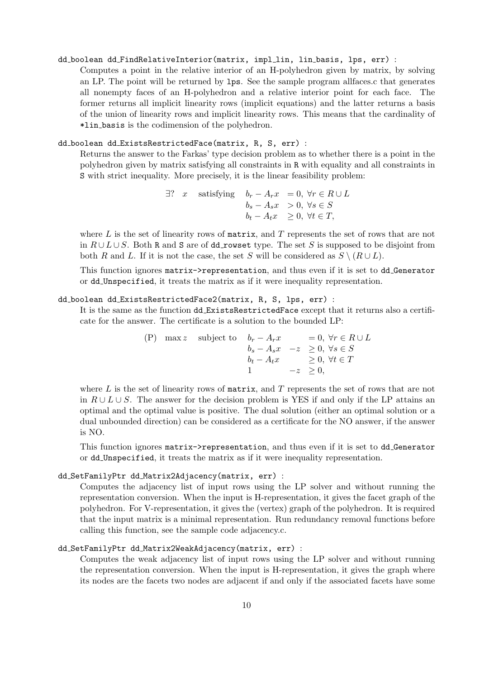#### dd boolean dd FindRelativeInterior(matrix, impl lin, lin basis, lps, err) :

Computes a point in the relative interior of an H-polyhedron given by matrix, by solving an LP. The point will be returned by lps. See the sample program allfaces.c that generates all nonempty faces of an H-polyhedron and a relative interior point for each face. The former returns all implicit linearity rows (implicit equations) and the latter returns a basis of the union of linearity rows and implicit linearity rows. This means that the cardinality of \*lin basis is the codimension of the polyhedron.

#### dd boolean dd ExistsRestrictedFace(matrix, R, S, err) :

Returns the answer to the Farkas' type decision problem as to whether there is a point in the polyhedron given by matrix satisfying all constraints in R with equality and all constraints in S with strict inequality. More precisely, it is the linear feasibility problem:

$$
\exists ? \quad x \quad \text{satisfying} \quad b_r - A_rx = 0, \ \forall r \in R \cup L
$$
\n
$$
b_s - A_s x > 0, \ \forall s \in S
$$
\n
$$
b_t - A_t x \geq 0, \ \forall t \in T,
$$

where  $L$  is the set of linearity rows of matrix, and  $T$  represents the set of rows that are not in  $R \cup L \cup S$ . Both R and S are of dd\_rowset type. The set S is supposed to be disjoint from both R and L. If it is not the case, the set S will be considered as  $S \setminus (R \cup L)$ .

This function ignores matrix->representation, and thus even if it is set to dd Generator or dd Unspecified, it treats the matrix as if it were inequality representation.

#### dd boolean dd ExistsRestrictedFace2(matrix, R, S, lps, err) :

It is the same as the function dd ExistsRestrictedFace except that it returns also a certificate for the answer. The certificate is a solution to the bounded LP:

> (P) max z subject to  $b_r - A_rx$  = 0,  $\forall r \in R \cup L$  $b_s - A_s x \quad -z \geq 0, \ \forall s \in S$  $b_t - A_t x \geq 0, \forall t \in T$ 1  $-z \geq 0$ ,

where  $L$  is the set of linearity rows of matrix, and  $T$  represents the set of rows that are not in  $R \cup L \cup S$ . The answer for the decision problem is YES if and only if the LP attains an optimal and the optimal value is positive. The dual solution (either an optimal solution or a dual unbounded direction) can be considered as a certificate for the NO answer, if the answer is NO.

This function ignores matrix->representation, and thus even if it is set to dd Generator or dd Unspecified, it treats the matrix as if it were inequality representation.

### dd SetFamilyPtr dd Matrix2Adjacency(matrix, err) :

Computes the adjacency list of input rows using the LP solver and without running the representation conversion. When the input is H-representation, it gives the facet graph of the polyhedron. For V-representation, it gives the (vertex) graph of the polyhedron. It is required that the input matrix is a minimal representation. Run redundancy removal functions before calling this function, see the sample code adjacency.c.

#### dd SetFamilyPtr dd Matrix2WeakAdjacency(matrix, err) :

Computes the weak adjacency list of input rows using the LP solver and without running the representation conversion. When the input is H-representation, it gives the graph where its nodes are the facets two nodes are adjacent if and only if the associated facets have some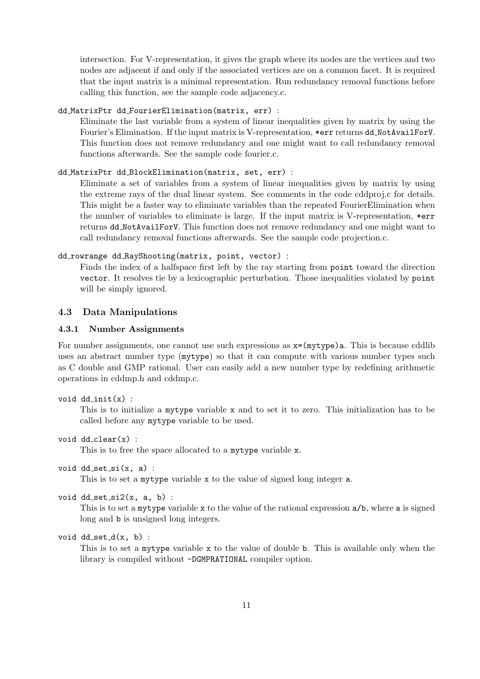intersection. For V-representation, it gives the graph where its nodes are the vertices and two nodes are adjacent if and only if the associated vertices are on a common facet. It is required that the input matrix is a minimal representation. Run redundancy removal functions before calling this function, see the sample code adjacency.c.

### dd MatrixPtr dd FourierElimination(matrix, err) :

Eliminate the last variable from a system of linear inequalities given by matrix by using the Fourier's Elimination. If the input matrix is V-representation, \*err returns dd NotAvailForV. This function does not remove redundancy and one might want to call redundancy removal functions afterwards. See the sample code fourier.c.

#### dd MatrixPtr dd BlockElimination(matrix, set, err) :

Eliminate a set of variables from a system of linear inequalities given by matrix by using the extreme rays of the dual linear system. See comments in the code cddproj.c for details. This might be a faster way to eliminate variables than the repeated FourierElimination when the number of variables to eliminate is large. If the input matrix is V-representation, \*err returns dd NotAvailForV. This function does not remove redundancy and one might want to call redundancy removal functions afterwards. See the sample code projection.c.

#### dd rowrange dd RayShooting(matrix, point, vector) :

Finds the index of a halfspace first left by the ray starting from point toward the direction vector. It resolves tie by a lexicographic perturbation. Those inequalities violated by point will be simply ignored.

#### 4.3 Data Manipulations

#### 4.3.1 Number Assignments

For number assignments, one cannot use such expressions as  $x=(mytype)a$ . This is because cddlib uses an abstract number type (mytype) so that it can compute with various number types such as C double and GMP rational. User can easily add a new number type by redefining arithmetic operations in cddmp.h and cddmp.c.

```
void ddinit(x):
```
This is to initialize a mytype variable x and to set it to zero. This initialization has to be called before any mytype variable to be used.

```
void dd_{\text{clear}}(x) :
```
This is to free the space allocated to a mytype variable x.

```
void dd\_set\_si(x, a) :
```
This is to set a mytype variable x to the value of signed long integer a.

```
void dd-set si2(x, a, b):
```
This is to set a mytype variable x to the value of the rational expression  $a/b$ , where a is signed long and b is unsigned long integers.

void  $dd\_set_d(x, b)$  :

This is to set a mytype variable x to the value of double b. This is available only when the library is compiled without -DGMPRATIONAL compiler option.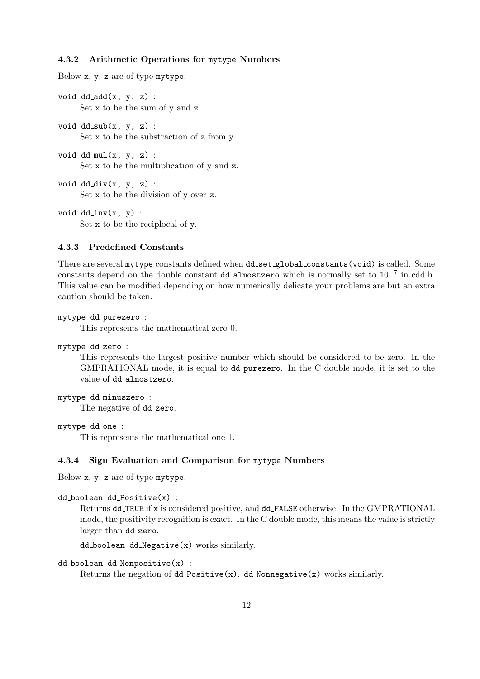#### 4.3.2 Arithmetic Operations for mytype Numbers

Below x, y, z are of type mytype.

void  $dd$ - $add(x, y, z)$  : Set x to be the sum of y and z.

void  $dd$ -sub $(x, y, z)$  : Set x to be the substraction of z from y.

void  $dd_{mul}(x, y, z)$  : Set x to be the multiplication of y and z.

void  $dd_ddiv(x, y, z)$  : Set x to be the division of y over z.

void  $dd_{inv}(x, y)$  : Set x to be the reciplocal of y.

#### 4.3.3 Predefined Constants

There are several mytype constants defined when dd\_set\_global\_constants(void) is called. Some constants depend on the double constant dd\_almostzero which is normally set to  $10^{-7}$  in cdd.h. This value can be modified depending on how numerically delicate your problems are but an extra caution should be taken.

```
mytype dd purezero :
```
This represents the mathematical zero 0.

```
mytype dd_zero :
```
This represents the largest positive number which should be considered to be zero. In the GMPRATIONAL mode, it is equal to dd purezero. In the C double mode, it is set to the value of dd\_almostzero.

```
mytype dd minuszero :
     The negative of dd_zero.
```
mytype dd one :

This represents the mathematical one 1.

#### 4.3.4 Sign Evaluation and Comparison for mytype Numbers

Below x, y, z are of type mytype.

```
dd boolean dd Positive(x) :
```
Returns dd TRUE if x is considered positive, and dd FALSE otherwise. In the GMPRATIONAL mode, the positivity recognition is exact. In the C double mode, this means the value is strictly larger than dd\_zero.

dd boolean dd Negative(x) works similarly.

#### dd boolean dd Nonpositive(x) :

Returns the negation of  $dd\_{Positive}(x)$ . dd Nonnegative(x) works similarly.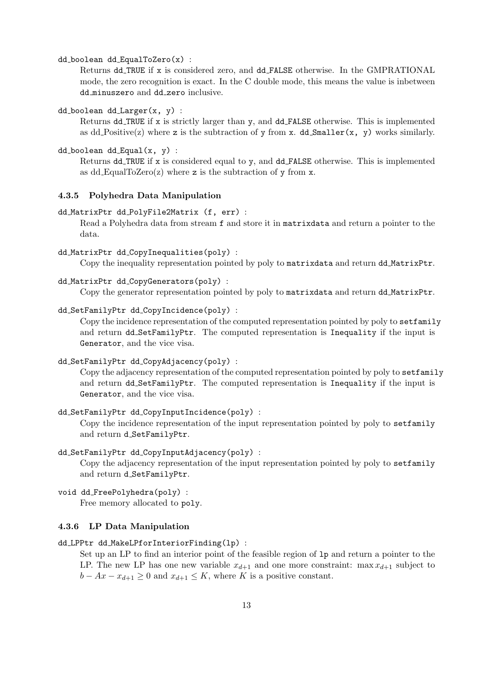dd boolean dd EqualToZero(x) :

Returns dd TRUE if x is considered zero, and dd FALSE otherwise. In the GMPRATIONAL mode, the zero recognition is exact. In the C double mode, this means the value is inbetween dd minuszero and dd zero inclusive.

dd boolean dd Larger(x, y) :

Returns dd TRUE if x is strictly larger than y, and dd FALSE otherwise. This is implemented as dd Positive(z) where z is the subtraction of y from x. dd Smaller $(x, y)$  works similarly.

 $dd\_boolean$   $dd\_Equal(x, y)$ :

Returns dd TRUE if x is considered equal to y, and dd FALSE otherwise. This is implemented as dd EqualToZero(z) where z is the subtraction of  $\gamma$  from x.

#### 4.3.5 Polyhedra Data Manipulation

dd MatrixPtr dd PolyFile2Matrix (f, err) :

Read a Polyhedra data from stream f and store it in matrixdata and return a pointer to the data.

dd MatrixPtr dd CopyInequalities(poly) :

Copy the inequality representation pointed by poly to matrixdata and return dd MatrixPtr.

dd MatrixPtr dd CopyGenerators(poly) :

Copy the generator representation pointed by poly to matrixdata and return dd MatrixPtr.

#### dd SetFamilyPtr dd CopyIncidence(poly) :

Copy the incidence representation of the computed representation pointed by poly to setfamily and return dd SetFamilyPtr. The computed representation is Inequality if the input is Generator, and the vice visa.

```
dd SetFamilyPtr dd CopyAdjacency(poly) :
```
Copy the adjacency representation of the computed representation pointed by poly to setfamily and return dd SetFamilyPtr. The computed representation is Inequality if the input is Generator, and the vice visa.

#### dd SetFamilyPtr dd CopyInputIncidence(poly) :

Copy the incidence representation of the input representation pointed by poly to setfamily and return d SetFamilyPtr.

#### dd SetFamilyPtr dd CopyInputAdjacency(poly) :

Copy the adjacency representation of the input representation pointed by poly to setfamily and return d\_SetFamilyPtr.

void dd FreePolyhedra(poly) :

Free memory allocated to poly.

### 4.3.6 LP Data Manipulation

#### dd LPPtr dd MakeLPforInteriorFinding(lp) :

Set up an LP to find an interior point of the feasible region of lp and return a pointer to the LP. The new LP has one new variable  $x_{d+1}$  and one more constraint: max  $x_{d+1}$  subject to  $b - Ax - x_{d+1} \geq 0$  and  $x_{d+1} \leq K$ , where K is a positive constant.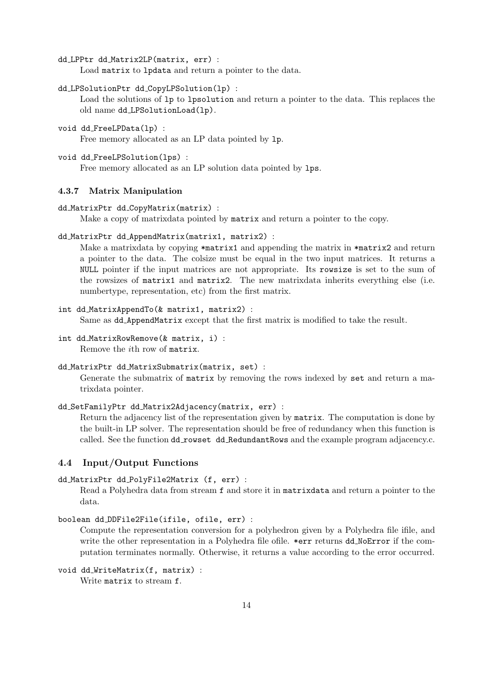dd LPPtr dd Matrix2LP(matrix, err) :

Load matrix to lpdata and return a pointer to the data.

```
dd LPSolutionPtr dd CopyLPSolution(lp) :
```
Load the solutions of lp to lpsolution and return a pointer to the data. This replaces the old name dd LPSolutionLoad(lp).

void dd FreeLPData(lp) :

Free memory allocated as an LP data pointed by lp.

void dd FreeLPSolution(lps) :

Free memory allocated as an LP solution data pointed by lps.

### 4.3.7 Matrix Manipulation

dd MatrixPtr dd CopyMatrix(matrix) :

Make a copy of matrixdata pointed by matrix and return a pointer to the copy.

```
dd MatrixPtr dd AppendMatrix(matrix1, matrix2) :
```
Make a matrixdata by copying \*matrix1 and appending the matrix in \*matrix2 and return a pointer to the data. The colsize must be equal in the two input matrices. It returns a NULL pointer if the input matrices are not appropriate. Its rowsize is set to the sum of the rowsizes of matrix1 and matrix2. The new matrixdata inherits everything else (i.e. numbertype, representation, etc) from the first matrix.

#### int dd MatrixAppendTo(& matrix1, matrix2) :

Same as dd AppendMatrix except that the first matrix is modified to take the result.

int dd MatrixRowRemove(& matrix, i) : Remove the ith row of matrix.

#### dd MatrixPtr dd MatrixSubmatrix(matrix, set) :

Generate the submatrix of matrix by removing the rows indexed by set and return a matrixdata pointer.

#### dd SetFamilyPtr dd Matrix2Adjacency(matrix, err) :

Return the adjacency list of the representation given by matrix. The computation is done by the built-in LP solver. The representation should be free of redundancy when this function is called. See the function dd\_rowset dd\_RedundantRows and the example program adjacency.c.

### 4.4 Input/Output Functions

```
dd MatrixPtr dd PolyFile2Matrix (f, err) :
```
Read a Polyhedra data from stream f and store it in matrixdata and return a pointer to the data.

```
boolean dd DDFile2File(ifile, ofile, err) :
```
Compute the representation conversion for a polyhedron given by a Polyhedra file ifile, and write the other representation in a Polyhedra file ofile. \*err returns dd NoError if the computation terminates normally. Otherwise, it returns a value according to the error occurred.

```
void dd WriteMatrix(f, matrix) :
     Write matrix to stream f.
```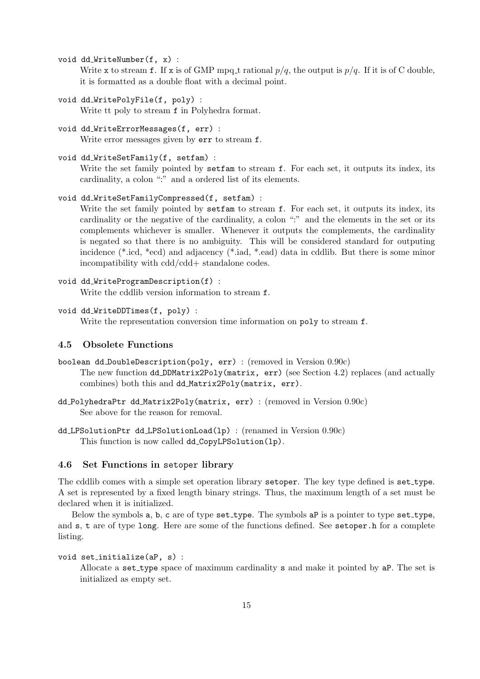void dd\_WriteNumber(f, x) :

Write x to stream f. If x is of GMP mpq t rational  $p/q$ , the output is  $p/q$ . If it is of C double, it is formatted as a double float with a decimal point.

- void dd WritePolyFile(f, poly) : Write tt poly to stream f in Polyhedra format.
- void dd WriteErrorMessages(f, err) : Write error messages given by err to stream f.
- void dd WriteSetFamily(f, setfam) :

Write the set family pointed by setfam to stream f. For each set, it outputs its index, its cardinality, a colon ":" and a ordered list of its elements.

```
void dd WriteSetFamilyCompressed(f, setfam) :
```
Write the set family pointed by setfam to stream f. For each set, it outputs its index, its cardinality or the negative of the cardinality, a colon ":" and the elements in the set or its complements whichever is smaller. Whenever it outputs the complements, the cardinality is negated so that there is no ambiguity. This will be considered standard for outputing incidence (\*.icd, \*ecd) and adjacency (\*.iad, \*.ead) data in cddlib. But there is some minor incompatibility with cdd/cdd+ standalone codes.

```
void dd_WriteProgramDescription(f) :
     Write the cddlib version information to stream f.
```

```
void dd WriteDDTimes(f, poly) :
```
Write the representation conversion time information on poly to stream f.

## 4.5 Obsolete Functions

- boolean dd DoubleDescription(poly, err) : (removed in Version 0.90c) The new function dd DDMatrix2Poly(matrix, err) (see Section 4.2) replaces (and actually combines) both this and dd Matrix2Poly(matrix, err).
- dd PolyhedraPtr dd Matrix2Poly(matrix, err) : (removed in Version 0.90c) See above for the reason for removal.
- dd LPSolutionPtr dd LPSolutionLoad(lp) : (renamed in Version 0.90c) This function is now called dd CopyLPSolution(lp).

## 4.6 Set Functions in setoper library

The cddlib comes with a simple set operation library setoper. The key type defined is set\_type. A set is represented by a fixed length binary strings. Thus, the maximum length of a set must be declared when it is initialized.

Below the symbols a, b, c are of type set\_type. The symbols aP is a pointer to type set\_type, and s, t are of type long. Here are some of the functions defined. See setoper.h for a complete listing.

```
void set initialize(aP, s) :
```
Allocate a set type space of maximum cardinality s and make it pointed by aP. The set is initialized as empty set.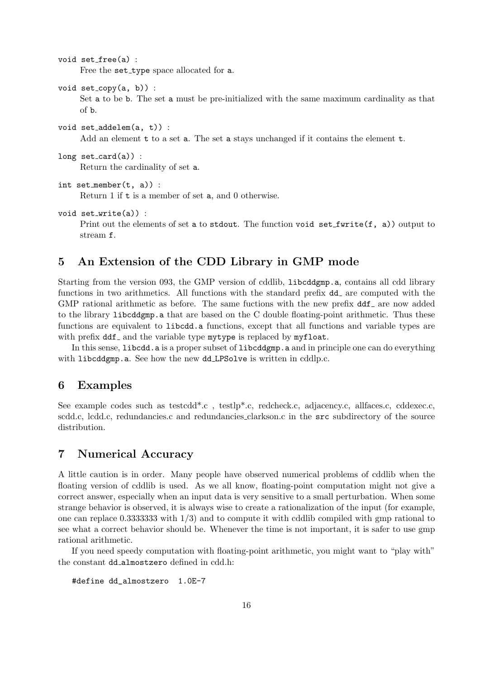```
void set free(a) :
     Free the set_type space allocated for a.
```
- void  $set_{\text{conv}(a, b)}$  : Set a to be b. The set a must be pre-initialized with the same maximum cardinality as that of b.
- void set addelem(a, t)) : Add an element t to a set a. The set a stays unchanged if it contains the element t.
- long  $set_{card(a)}$  : Return the cardinality of set a.

```
int set member(t, a)) :
     Return 1 if t is a member of set a, and 0 otherwise.
```
void set write(a)) :

Print out the elements of set a to stdout. The function void set furite  $(f, a)$  output to stream f.

## 5 An Extension of the CDD Library in GMP mode

Starting from the version 093, the GMP version of cddlib, libcddgmp.a, contains all cdd library functions in two arithmetics. All functions with the standard prefix  $dd$  are computed with the GMP rational arithmetic as before. The same fuctions with the new prefix  $ddf$  are now added to the library libcddgmp.a that are based on the C double floating-point arithmetic. Thus these functions are equivalent to libcdd.a functions, except that all functions and variable types are with prefix  $\text{dd}f$  and the variable type mytype is replaced by mythout.

In this sense, libcdd. a is a proper subset of libcddgmp. a and in principle one can do everything with libcddgmp.a. See how the new dd LPSolve is written in cddlp.c.

## 6 Examples

See example codes such as testcdd<sup>\*</sup>.c, testlp<sup>\*</sup>.c, redcheck.c, adjacency.c, allfaces.c, cddexec.c, scdd.c, lcdd.c, redundancies.c and redundancies clarkson.c in the src subdirectory of the source distribution.

## 7 Numerical Accuracy

A little caution is in order. Many people have observed numerical problems of cddlib when the floating version of cddlib is used. As we all know, floating-point computation might not give a correct answer, especially when an input data is very sensitive to a small perturbation. When some strange behavior is observed, it is always wise to create a rationalization of the input (for example, one can replace 0.3333333 with  $1/3$  and to compute it with cddlib compiled with gmp rational to see what a correct behavior should be. Whenever the time is not important, it is safer to use gmp rational arithmetic.

If you need speedy computation with floating-point arithmetic, you might want to "play with" the constant dd almostzero defined in cdd.h:

#define dd\_almostzero 1.0E-7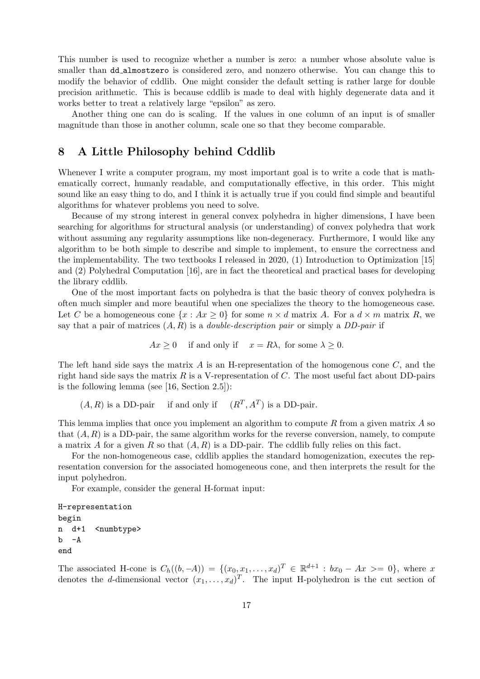This number is used to recognize whether a number is zero: a number whose absolute value is smaller than dd\_almostzero is considered zero, and nonzero otherwise. You can change this to modify the behavior of cddlib. One might consider the default setting is rather large for double precision arithmetic. This is because cddlib is made to deal with highly degenerate data and it works better to treat a relatively large "epsilon" as zero.

Another thing one can do is scaling. If the values in one column of an input is of smaller magnitude than those in another column, scale one so that they become comparable.

## 8 A Little Philosophy behind Cddlib

Whenever I write a computer program, my most important goal is to write a code that is mathematically correct, humanly readable, and computationally effective, in this order. This might sound like an easy thing to do, and I think it is actually true if you could find simple and beautiful algorithms for whatever problems you need to solve.

Because of my strong interest in general convex polyhedra in higher dimensions, I have been searching for algorithms for structural analysis (or understanding) of convex polyhedra that work without assuming any regularity assumptions like non-degeneracy. Furthermore, I would like any algorithm to be both simple to describe and simple to implement, to ensure the correctness and the implementability. The two textbooks I released in 2020, (1) Introduction to Optimization [15] and (2) Polyhedral Computation [16], are in fact the theoretical and practical bases for developing the library cddlib.

One of the most important facts on polyhedra is that the basic theory of convex polyhedra is often much simpler and more beautiful when one specializes the theory to the homogeneous case. Let C be a homogeneous cone  $\{x : Ax \geq 0\}$  for some  $n \times d$  matrix A. For a  $d \times m$  matrix R, we say that a pair of matrices  $(A, R)$  is a *double-description pair* or simply a *DD-pair* if

$$
Ax \ge 0
$$
 if and only if  $x = R\lambda$ , for some  $\lambda \ge 0$ .

The left hand side says the matrix  $A$  is an H-representation of the homogenous cone  $C$ , and the right hand side says the matrix R is a V-representation of C. The most useful fact about DD-pairs is the following lemma (see [16, Section 2.5]):

 $(A, R)$  is a DD-pair if and only if  $(R<sup>T</sup>, A<sup>T</sup>)$  is a DD-pair.

This lemma implies that once you implement an algorithm to compute  $R$  from a given matrix  $A$  so that  $(A, R)$  is a DD-pair, the same algorithm works for the reverse conversion, namely, to compute a matrix A for a given R so that  $(A, R)$  is a DD-pair. The cddlib fully relies on this fact.

For the non-homogeneous case, cddlib applies the standard homogenization, executes the representation conversion for the associated homogeneous cone, and then interprets the result for the input polyhedron.

For example, consider the general H-format input:

H-representation begin n d+1 <numbtype>  $b - A$ end

The associated H-cone is  $C_h((b, -A)) = \{(x_0, x_1, \ldots, x_d)^T \in \mathbb{R}^{d+1} : bx_0 - Ax \geq 0\}$ , where x denotes the d-dimensional vector  $(x_1, \ldots, x_d)^T$ . The input H-polyhedron is the cut section of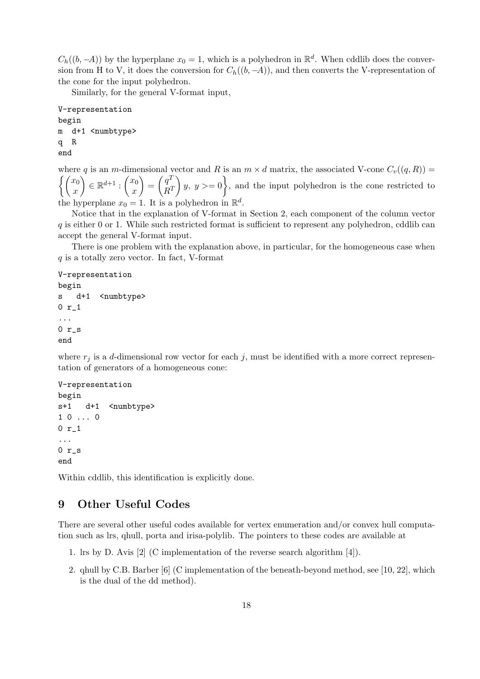$C_h((b, -A))$  by the hyperplane  $x_0 = 1$ , which is a polyhedron in  $\mathbb{R}^d$ . When cddlib does the conversion from H to V, it does the conversion for  $C_h((b, -A))$ , and then converts the V-representation of the cone for the input polyhedron.

Similarly, for the general V-format input,

```
V-representation
begin
m d+1 <numbtype>
q R
end
```
where q is an m-dimensional vector and R is an  $m \times d$  matrix, the associated V-cone  $C_v((q, R))$  =  $\int (x_0$  $\boldsymbol{x}$  $\Big) \in \mathbb{R}^{d+1} : \left( \begin{matrix} x_0 \\ x_1 \end{matrix} \right)$  $\boldsymbol{x}$  $=\left(\begin{matrix} q^T \\ q^T \end{matrix}\right)$  $R^T$  $\left\{y, y\right\}=0\right\}$ , and the input polyhedron is the cone restricted to the hyperplane  $x_0 = 1$ . It is a polyhedron in  $\mathbb{R}^d$ .

Notice that in the explanation of V-format in Section 2, each component of the column vector  $q$  is either 0 or 1. While such restricted format is sufficient to represent any polyhedron, cddlib can accept the general V-format input.

There is one problem with the explanation above, in particular, for the homogeneous case when  $q$  is a totally zero vector. In fact, V-format

#### V-representation

```
begin
s d+1 <numbtype>
0 r_1
...
0 r_s
end
```
where  $r_j$  is a d-dimensional row vector for each j, must be identified with a more correct representation of generators of a homogeneous cone:

```
V-representation
begin
s+1 d+1 <numbtype>
1 0 ... 0
0 r_1
...
0 r_send
```
Within cddlib, this identification is explicitly done.

## 9 Other Useful Codes

There are several other useful codes available for vertex enumeration and/or convex hull computation such as lrs, qhull, porta and irisa-polylib. The pointers to these codes are available at

- 1. lrs by D. Avis [2] (C implementation of the reverse search algorithm [4]).
- 2. qhull by C.B. Barber [6] (C implementation of the beneath-beyond method, see [10, 22], which is the dual of the dd method).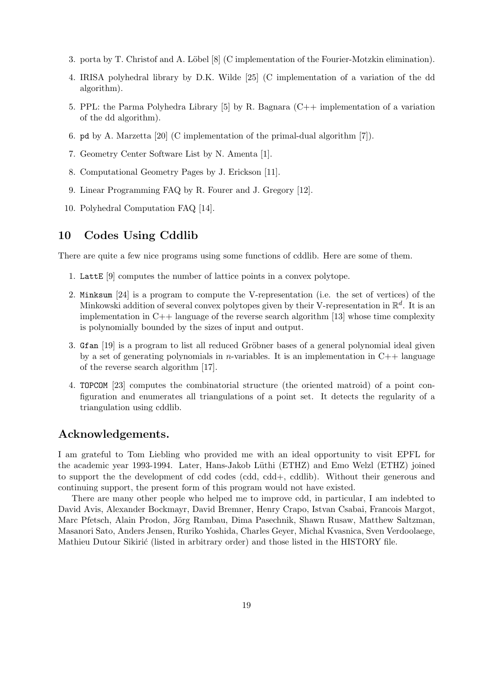- 3. porta by T. Christof and A. Löbel [8] (C implementation of the Fourier-Motzkin elimination).
- 4. IRISA polyhedral library by D.K. Wilde [25] (C implementation of a variation of the dd algorithm).
- 5. PPL: the Parma Polyhedra Library [5] by R. Bagnara (C++ implementation of a variation of the dd algorithm).
- 6. pd by A. Marzetta [20] (C implementation of the primal-dual algorithm [7]).
- 7. Geometry Center Software List by N. Amenta [1].
- 8. Computational Geometry Pages by J. Erickson [11].
- 9. Linear Programming FAQ by R. Fourer and J. Gregory [12].
- 10. Polyhedral Computation FAQ [14].

## 10 Codes Using Cddlib

There are quite a few nice programs using some functions of cddlib. Here are some of them.

- 1. LattE [9] computes the number of lattice points in a convex polytope.
- 2. Minksum [24] is a program to compute the V-representation (i.e. the set of vertices) of the Minkowski addition of several convex polytopes given by their V-representation in  $\mathbb{R}^d$ . It is an implementation in  $C++$  language of the reverse search algorithm [13] whose time complexity is polynomially bounded by the sizes of input and output.
- 3. Gfan [19] is a program to list all reduced Gröbner bases of a general polynomial ideal given by a set of generating polynomials in *n*-variables. It is an implementation in  $C++$  language of the reverse search algorithm [17].
- 4. TOPCOM [23] computes the combinatorial structure (the oriented matroid) of a point configuration and enumerates all triangulations of a point set. It detects the regularity of a triangulation using cddlib.

## Acknowledgements.

I am grateful to Tom Liebling who provided me with an ideal opportunity to visit EPFL for the academic year 1993-1994. Later, Hans-Jakob Lüthi (ETHZ) and Emo Welzl (ETHZ) joined to support the the development of cdd codes (cdd, cdd+, cddlib). Without their generous and continuing support, the present form of this program would not have existed.

There are many other people who helped me to improve cdd, in particular, I am indebted to David Avis, Alexander Bockmayr, David Bremner, Henry Crapo, Istvan Csabai, Francois Margot, Marc Pfetsch, Alain Prodon, Jörg Rambau, Dima Pasechnik, Shawn Rusaw, Matthew Saltzman, Masanori Sato, Anders Jensen, Ruriko Yoshida, Charles Geyer, Michal Kvasnica, Sven Verdoolaege, Mathieu Dutour Sikirić (listed in arbitrary order) and those listed in the HISTORY file.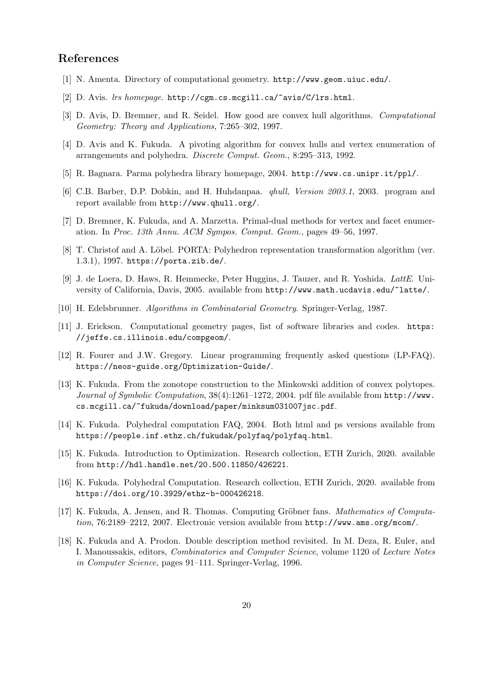## References

- [1] N. Amenta. Directory of computational geometry. http://www.geom.uiuc.edu/.
- [2] D. Avis. lrs homepage. http://cgm.cs.mcgill.ca/~avis/C/lrs.html.
- [3] D. Avis, D. Bremner, and R. Seidel. How good are convex hull algorithms. Computational Geometry: Theory and Applications, 7:265–302, 1997.
- [4] D. Avis and K. Fukuda. A pivoting algorithm for convex hulls and vertex enumeration of arrangements and polyhedra. Discrete Comput. Geom., 8:295–313, 1992.
- [5] R. Bagnara. Parma polyhedra library homepage, 2004. http://www.cs.unipr.it/ppl/.
- [6] C.B. Barber, D.P. Dobkin, and H. Huhdanpaa. qhull, Version 2003.1, 2003. program and report available from http://www.qhull.org/.
- [7] D. Bremner, K. Fukuda, and A. Marzetta. Primal-dual methods for vertex and facet enumeration. In Proc. 13th Annu. ACM Sympos. Comput. Geom., pages 49–56, 1997.
- [8] T. Christof and A. Löbel. PORTA: Polyhedron representation transformation algorithm (ver. 1.3.1), 1997. https://porta.zib.de/.
- [9] J. de Loera, D. Haws, R. Hemmecke, Peter Huggins, J. Tauzer, and R. Yoshida. LattE. University of California, Davis, 2005. available from http://www.math.ucdavis.edu/~latte/.
- [10] H. Edelsbrunner. Algorithms in Combinatorial Geometry. Springer-Verlag, 1987.
- [11] J. Erickson. Computational geometry pages, list of software libraries and codes. https: //jeffe.cs.illinois.edu/compgeom/.
- [12] R. Fourer and J.W. Gregory. Linear programming frequently asked questions (LP-FAQ). https://neos-guide.org/Optimization-Guide/.
- [13] K. Fukuda. From the zonotope construction to the Minkowski addition of convex polytopes. Journal of Symbolic Computation,  $38(4)$ :1261–1272, 2004. pdf file available from http://www. cs.mcgill.ca/~fukuda/download/paper/minksum031007jsc.pdf.
- [14] K. Fukuda. Polyhedral computation FAQ, 2004. Both html and ps versions available from https://people.inf.ethz.ch/fukudak/polyfaq/polyfaq.html.
- [15] K. Fukuda. Introduction to Optimization. Research collection, ETH Zurich, 2020. available from http://hdl.handle.net/20.500.11850/426221.
- [16] K. Fukuda. Polyhedral Computation. Research collection, ETH Zurich, 2020. available from https://doi.org/10.3929/ethz-b-000426218.
- [17] K. Fukuda, A. Jensen, and R. Thomas. Computing Gröbner fans. *Mathematics of Computa*tion, 76:2189–2212, 2007. Electronic version available from http://www.ams.org/mcom/.
- [18] K. Fukuda and A. Prodon. Double description method revisited. In M. Deza, R. Euler, and I. Manoussakis, editors, Combinatorics and Computer Science, volume 1120 of Lecture Notes in Computer Science, pages 91–111. Springer-Verlag, 1996.